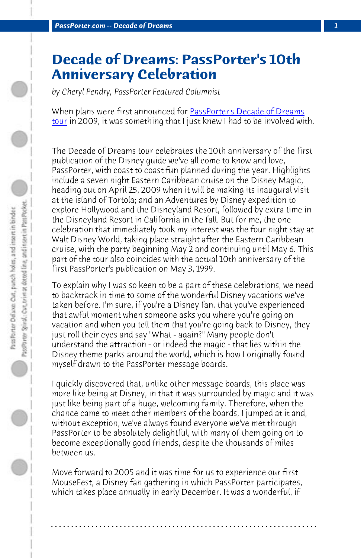*PassPorter.com -- Decade of Dreams 1*

## **Decade of Dreams: PassPorter's 10th Anniversary Celebration**

*by Cheryl Pendry, PassPorter Featured Columnist*

When plans were first announced for PassPorter's Decade of Dreams tour in 2009, it was something that I just knew I had to be involved with.

The Decade of Dreams tour celebrates the 10th anniversary of the first publication of the Disney guide we've all come to know and love, PassPorter, with coast to coast fun planned during the year. Highlights include a seven night Eastern Caribbean cruise on the Disney Magic, heading out on April 25, 2009 when it will be making its inaugural visit at the island of Tortola; and an Adventures by Disney expedition to explore Hollywood and the Disneyland Resort, followed by extra time in the Disneyland Resort in California in the fall. But for me, the one celebration that immediately took my interest was the four night stay at Walt Disney World, taking place straight after the Eastern Caribbean cruise, with the party beginning May 2 and continuing until May 6. This part of the tour also coincides with the actual 10th anniversary of the first PassPorter's publication on May 3, 1999.

To explain why I was so keen to be a part of these celebrations, we need to backtrack in time to some of the wonderful Disney vacations we've taken before. I'm sure, if you're a Disney fan, that you've experienced that awful moment when someone asks you where you're going on vacation and when you tell them that you're going back to Disney, they just roll their eyes and say "What - again?" Many people don't understand the attraction - or indeed the magic - that lies within the Disney theme parks around the world, which is how I originally found myself drawn to the PassPorter message boards.

I quickly discovered that, unlike other message boards, this place was more like being at Disney, in that it was surrounded by magic and it was just like being part of a huge, welcoming family. Therefore, when the chance came to meet other members of the boards, I jumped at it and, without exception, we've always found everyone we've met through PassPorter to be absolutely delightful, with many of them going on to become exceptionally good friends, despite the thousands of miles between us.

Move forward to 2005 and it was time for us to experience our first MouseFest, a Disney fan gathering in which PassPorter participates, which takes place annually in early December. It was a wonderful, if

**. . . . . . . . . . . . . . . . . . . . . . . . . . . . . . . . . . . . . . . . . . . . . . . . . . . . . . . . . . . . . . . . . .**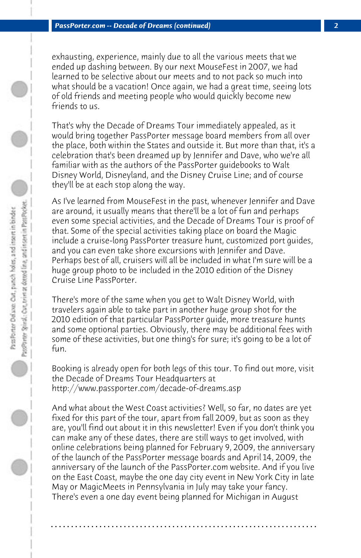exhausting, experience, mainly due to all the various meets that we ended up dashing between. By our next MouseFest in 2007, we had learned to be selective about our meets and to not pack so much into what should be a vacation! Once again, we had a great time, seeing lots of old friends and meeting people who would quickly become new friends to us.

That's why the Decade of Dreams Tour immediately appealed, as it would bring together PassPorter message board members from all over the place, both within the States and outside it. But more than that, it's a celebration that's been dreamed up by Jennifer and Dave, who we're all familiar with as the authors of the PassPorter guidebooks to Walt Disney World, Disneyland, and the Disney Cruise Line; and of course they'll be at each stop along the way.

As I've learned from MouseFest in the past, whenever Jennifer and Dave are around, it usually means that there'll be a lot of fun and perhaps even some special activities, and the Decade of Dreams Tour is proof of that. Some of the special activities taking place on board the Magic include a cruise-long PassPorter treasure hunt, customized port guides, and you can even take shore excursions with Jennifer and Dave. Perhaps best of all, cruisers will all be included in what I'm sure will be a huge group photo to be included in the 2010 edition of the Disney Cruise Line PassPorter.

There's more of the same when you get to Walt Disney World, with travelers again able to take part in another huge group shot for the 2010 edition of that particular PassPorter guide, more treasure hunts and some optional parties. Obviously, there may be additional fees with some of these activities, but one thing's for sure; it's going to be a lot of fun.

Booking is already open for both legs of this tour. To find out more, visit the Decade of Dreams Tour Headquarters at http://www.passporter.com/decade-of-dreams.asp

And what about the West Coast activities? Well, so far, no dates are yet fixed for this part of the tour, apart from fall 2009, but as soon as they are, you'll find out about it in this newsletter! Even if you don't think you can make any of these dates, there are still ways to get involved, with online celebrations being planned for February 9, 2009, the anniversary of the launch of the PassPorter message boards and April 14, 2009, the anniversary of the launch of the PassPorter.com website. And if you live on the East Coast, maybe the one day city event in New York City in late May or MagicMeets in Pennsylvania in July may take your fancy. There's even a one day event being planned for Michigan in August

**. . . . . . . . . . . . . . . . . . . . . . . . . . . . . . . . . . . . . . . . . . . . . . . . . . . . . . . . . . . . . . . . . .**